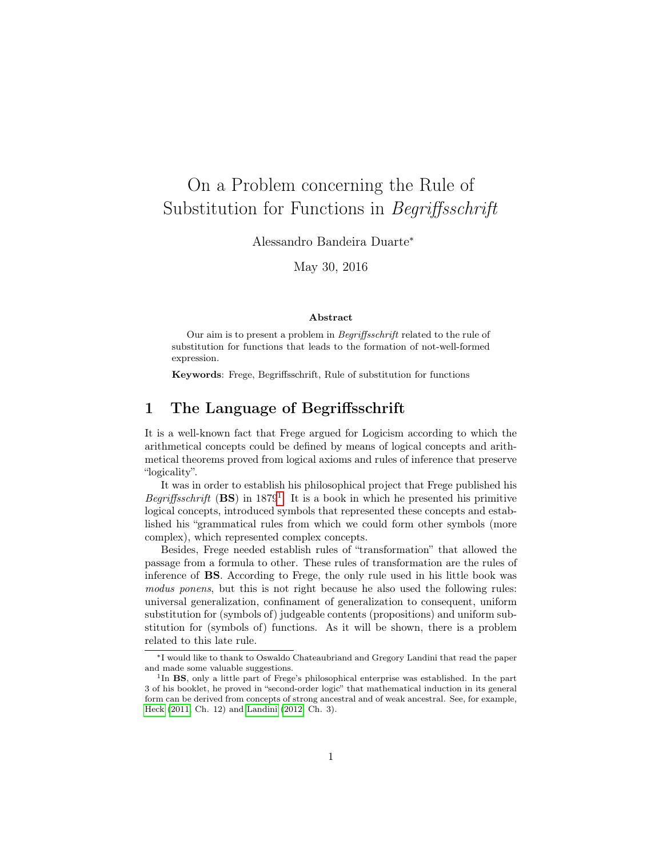# On a Problem concerning the Rule of Substitution for Functions in Begriffsschrift

Alessandro Bandeira Duarte<sup>∗</sup>

May 30, 2016

#### Abstract

Our aim is to present a problem in Begriffsschrift related to the rule of substitution for functions that leads to the formation of not-well-formed expression.

Keywords: Frege, Begriffsschrift, Rule of substitution for functions

## 1 The Language of Begriffsschrift

It is a well-known fact that Frege argued for Logicism according to which the arithmetical concepts could be defined by means of logical concepts and arithmetical theorems proved from logical axioms and rules of inference that preserve "logicality".

It was in order to establish his philosophical project that Frege published his Begriffsschrift  $(BS)$  in [1](#page-0-0)879<sup>1</sup>. It is a book in which he presented his primitive logical concepts, introduced symbols that represented these concepts and established his "grammatical rules from which we could form other symbols (more complex), which represented complex concepts.

Besides, Frege needed establish rules of "transformation" that allowed the passage from a formula to other. These rules of transformation are the rules of inference of BS. According to Frege, the only rule used in his little book was modus ponens, but this is not right because he also used the following rules: universal generalization, confinament of generalization to consequent, uniform substitution for (symbols of) judgeable contents (propositions) and uniform substitution for (symbols of) functions. As it will be shown, there is a problem related to this late rule.

<sup>∗</sup> I would like to thank to Oswaldo Chateaubriand and Gregory Landini that read the paper and made some valuable suggestions.

<span id="page-0-0"></span><sup>&</sup>lt;sup>1</sup>In BS, only a little part of Frege's philosophical enterprise was established. In the part 3 of his booklet, he proved in "second-order logic" that mathematical induction in its general form can be derived from concepts of strong ancestral and of weak ancestral. See, for example, [Heck](#page-6-0) [\(2011,](#page-6-0) Ch. 12) and [Landini](#page-6-1) [\(2012,](#page-6-1) Ch. 3).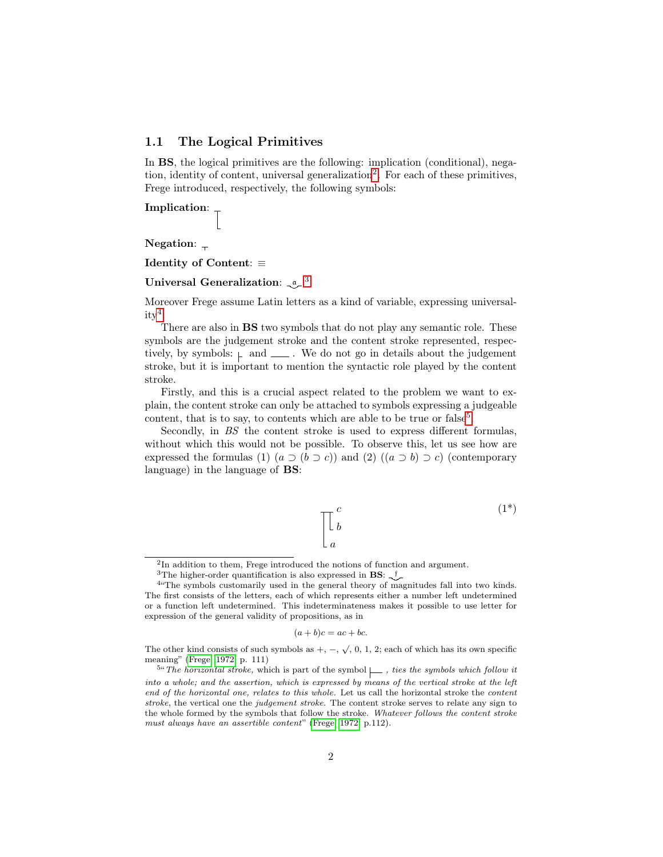### 1.1 The Logical Primitives

In BS, the logical primitives are the following: implication (conditional), nega-tion, identity of content, universal generalization<sup>[2](#page-1-0)</sup>. For each of these primitives, Frege introduced, respectively, the following symbols:

Implication:  $\mathcal{I}$ 

Negation:  $\overline{a}$ 

Identity of Content: ≡

#### Universal Generalization:  $\mathfrak{g}^{-3}$  $\mathfrak{g}^{-3}$  $\mathfrak{g}^{-3}$

Moreover Frege assume Latin letters as a kind of variable, expressing universal- $ity<sup>4</sup>$  $ity<sup>4</sup>$  $ity<sup>4</sup>$ .

There are also in BS two symbols that do not play any semantic role. These symbols are the judgement stroke and the content stroke represented, respectively, by symbols:  $\vdash$  and  $\bot$ . We do not go in details about the judgement stroke, but it is important to mention the syntactic role played by the content stroke.

Firstly, and this is a crucial aspect related to the problem we want to explain, the content stroke can only be attached to symbols expressing a judgeable content, that is to say, to contents which are able to be true or  $false<sup>5</sup>$  $false<sup>5</sup>$  $false<sup>5</sup>$ .

Secondly, in BS the content stroke is used to express different formulas, without which this would not be possible. To observe this, let us see how are expressed the formulas (1)  $(a \supset (b \supset c))$  and (2)  $((a \supset b) \supset c)$  (contemporary language) in the language of BS:

$$
\begin{bmatrix} c \\ b \\ a \end{bmatrix} \tag{1*}
$$

$$
(a+b)c = ac + bc.
$$

<span id="page-1-0"></span><sup>&</sup>lt;sup>2</sup>In addition to them, Frege introduced the notions of function and argument.

<span id="page-1-2"></span><span id="page-1-1"></span><sup>&</sup>lt;sup>3</sup>The higher-order quantification is also expressed in **BS**:  $\sqrt{ }$ <sup>f</sup>

<sup>&</sup>lt;sup>4</sup>"The symbols customarily used in the general theory of magnitudes fall into two kinds. The first consists of the letters, each of which represents either a number left undetermined or a function left undetermined. This indeterminateness makes it possible to use letter for expression of the general validity of propositions, as in

The other kind consists of such symbols as  $+$ ,  $-$ ,  $\sqrt{$ , 0, 1, 2; each of which has its own specific meaning" [\(Frege, 1972,](#page-6-2) p. 111)

<span id="page-1-3"></span><sup>&</sup>lt;sup>5"</sup> The horizontal stroke, which is part of the symbol  $\Box$ , ties the symbols which follow it into a whole; and the assertion, which is expressed by means of the vertical stroke at the left end of the horizontal one, relates to this whole. Let us call the horizontal stroke the content stroke, the vertical one the judgement stroke. The content stroke serves to relate any sign to the whole formed by the symbols that follow the stroke. Whatever follows the content stroke must always have an assertible content" [\(Frege, 1972,](#page-6-2) p.112).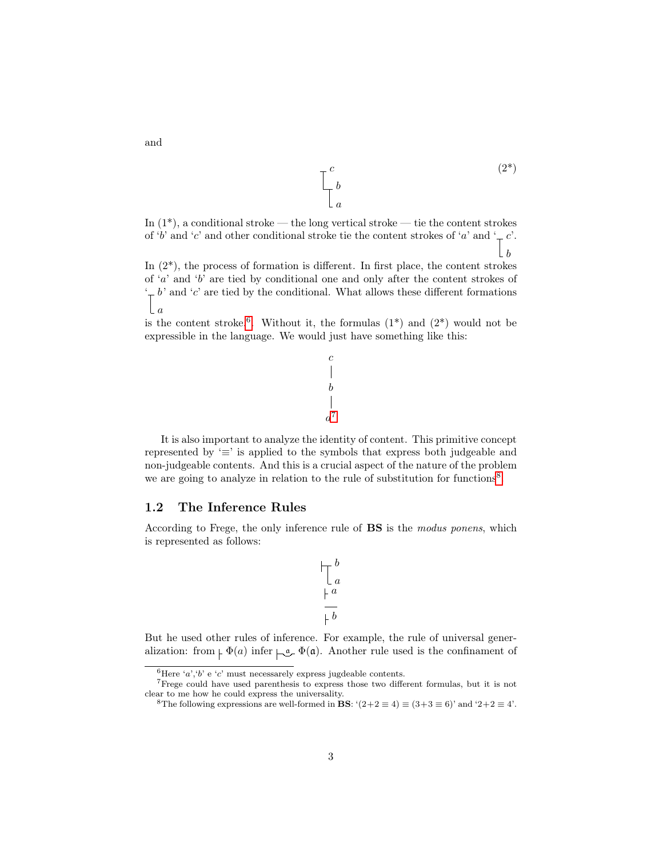

In  $(1^*)$ , a conditional stroke — the long vertical stroke — tie the content strokes of 'b' and 'c' and other conditional stroke tie the content strokes of 'a' and '<sub>r</sub> c'.  $\lfloor b \rfloor$ 

In  $(2^*)$ , the process of formation is different. In first place, the content strokes of  $a'$  and  $b'$  are tied by conditional one and only after the content strokes of  $\div b'$  and  $\div c'$  are tied by the conditional. What allows these different formations  $\lfloor a$ 

is the content stroke.<sup>[6](#page-2-0)</sup>. Without it, the formulas  $(1^*)$  and  $(2^*)$  would not be expressible in the language. We would just have something like this:

$$
\begin{array}{c} c \\ | \\ b \\ a^7 \end{array}
$$

It is also important to analyze the identity of content. This primitive concept represented by '≡' is applied to the symbols that express both judgeable and non-judgeable contents. And this is a crucial aspect of the nature of the problem we are going to analyze in relation to the rule of substitution for functions<sup>[8](#page-2-2)</sup>.

#### 1.2 The Inference Rules

According to Frege, the only inference rule of BS is the modus ponens, which is represented as follows:

> b a a b

But he used other rules of inference. For example, the rule of universal generalization: from  $\varphi(a)$  infer  $\varphi(a)$ . Another rule used is the confinament of

and

<span id="page-2-1"></span><span id="page-2-0"></span> $^6\mathrm{Here}$  'a',<br>'b' e 'c' must necessarely express jug<br>deable contents.

<sup>7</sup>Frege could have used parenthesis to express those two different formulas, but it is not clear to me how he could express the universality.

<span id="page-2-2"></span><sup>&</sup>lt;sup>8</sup>The following expressions are well-formed in **BS**: ' $(2+2 \equiv 4) \equiv (3+3 \equiv 6)$ ' and '2+2  $\equiv 4$ '.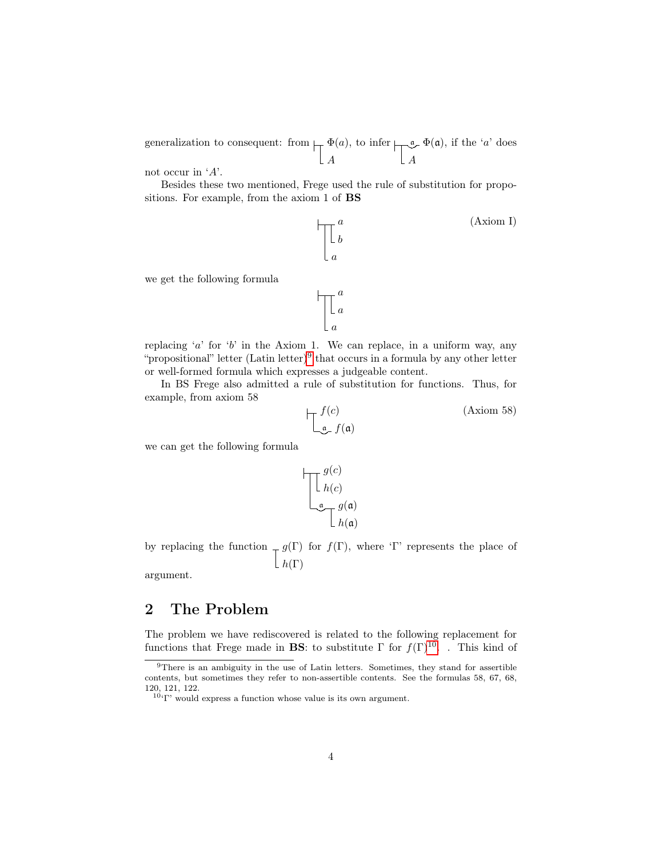generalization to consequent: from  $\Box$   $\Phi(a)$ A , to infer  $\Box_{\mathfrak{a}} \Phi(\mathfrak{a})$ A , if the  $'a'$  does

not occur in 'A'.

Besides these two mentioned, Frege used the rule of substitution for propositions. For example, from the axiom 1 of BS



replacing 'a' for 'b' in the Axiom 1. We can replace, in a uniform way, any "propositional" letter  $(Latin letter)^9$  $(Latin letter)^9$  that occurs in a formula by any other letter or well-formed formula which expresses a judgeable content.

a

In BS Frege also admitted a rule of substitution for functions. Thus, for example, from axiom 58

$$
\prod_{\mathfrak{a}} f(c) \tag{Axiom 58}
$$

we can get the following formula

$$
\begin{bmatrix}\ng(c) \\
h(c) \\
\hline\n\end{bmatrix}
$$
\n
$$
\begin{bmatrix}\ng(a) \\
h(a)\n\end{bmatrix}
$$

by replacing the function  $-g(\Gamma)$  for  $f(\Gamma)$ , where 'Γ' represents the place of  $\lfloor h(\Gamma) \rfloor$ 

argument.

## 2 The Problem

The problem we have rediscovered is related to the following replacement for functions that Frege made in **BS**: to substitute  $\Gamma$  for  $f(\Gamma)^{10}$  $f(\Gamma)^{10}$  $f(\Gamma)^{10}$ . . This kind of

<span id="page-3-0"></span><sup>9</sup>There is an ambiguity in the use of Latin letters. Sometimes, they stand for assertible contents, but sometimes they refer to non-assertible contents. See the formulas 58, 67, 68, 120, 121, 122.

<span id="page-3-1"></span> $10$ <sup>c</sup> $\Gamma$ ' would express a function whose value is its own argument.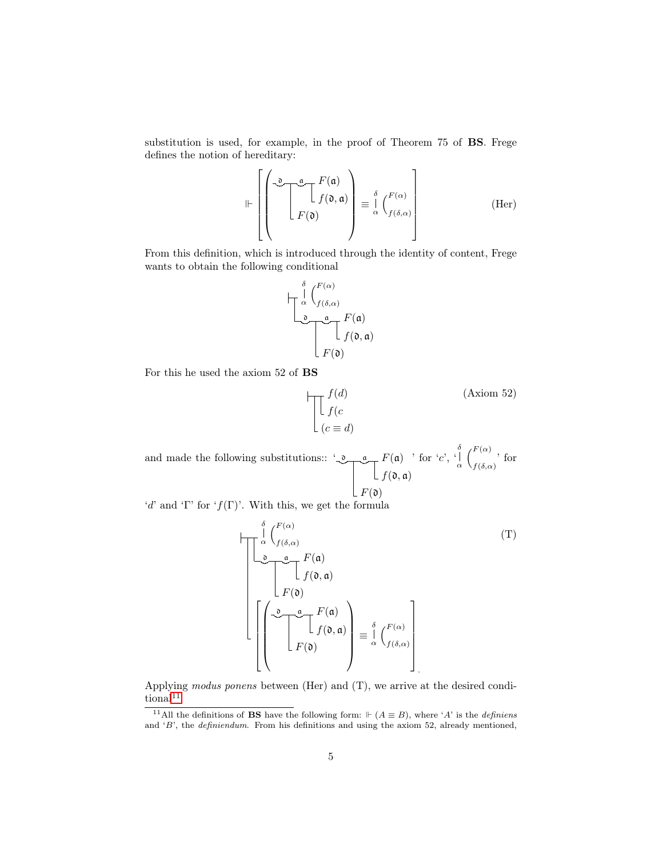substitution is used, for example, in the proof of Theorem 75 of BS. Frege defines the notion of hereditary:

$$
\Vdash \left[\left(\begin{array}{c} \mathcal{F}(\mathfrak{a}) \\ \begin{array}{c} \mathcal{F}(\mathfrak{a}) \\ \end{array} \\ F(\mathfrak{d}) \end{array}\right) \equiv \frac{\delta}{\alpha} \left(\begin{array}{c} F(\alpha) \\ f(\delta, \alpha) \end{array}\right) \right]
$$
(Her)

From this definition, which is introduced through the identity of content, Frege wants to obtain the following conditional

$$
\begin{array}{c}\n\int_{\alpha}^{\delta} \binom{F(\alpha)}{f(\delta,\alpha)} \\
\frac{\mathfrak{G}}{\Gamma(\mathfrak{d})} \int_{F(\mathfrak{d})}^{F(\mathfrak{a})} f(\mathfrak{a})\n\end{array}
$$

For this he used the axiom 52 of BS

$$
\prod_{c \in [c]} f(d)
$$
 (Axiom 52)  

$$
\left[ \begin{array}{c} f(d) \\ f(c \end{array} \right]
$$

and made the following substitutions:: ' $Q_{\text{max}} F(\mathfrak{a})$  $f(\mathfrak{d}, \mathfrak{a})$  $F({\mathfrak d})$ ' for ' $c'$ , ' δ α  $\int_0^F(\alpha)$  $f(\delta,\alpha)$  for

'd' and 'Γ' for ' $f(\Gamma)$ '. With this, we get the formula

δ

$$
\begin{bmatrix}\n\int_{\alpha}^{\delta} \binom{F(\alpha)}{f(\delta,\alpha)} & (T) \\
\int_{-\infty}^{\infty} \frac{a}{f(\mathfrak{d})} F(\mathfrak{a}) & \\
F(\mathfrak{d}) & \\
\end{bmatrix}
$$
\n
$$
\begin{bmatrix}\n\int_{-\infty}^{\infty} \frac{a}{f(\mathfrak{d})} F(\mathfrak{a}) & \\
f(\mathfrak{d}, \mathfrak{a}) & \frac{\delta}{\alpha} \binom{F(\alpha)}{f(\delta,\alpha)} \\
F(\mathfrak{d}) & \end{bmatrix} \equiv \int_{\alpha}^{\delta} \binom{F(\alpha)}{f(\delta,\alpha)} \bigg|_{\alpha}.
$$

Applying modus ponens between (Her) and (T), we arrive at the desired condi- $\text{tional}^{11}$  $\text{tional}^{11}$  $\text{tional}^{11}$ 

<span id="page-4-0"></span><sup>&</sup>lt;sup>11</sup>All the definitions of **BS** have the following form:  $\Vdash$   $(A \equiv B)$ , where 'A' is the *definiens* and 'B', the definiendum. From his definitions and using the axiom 52, already mentioned,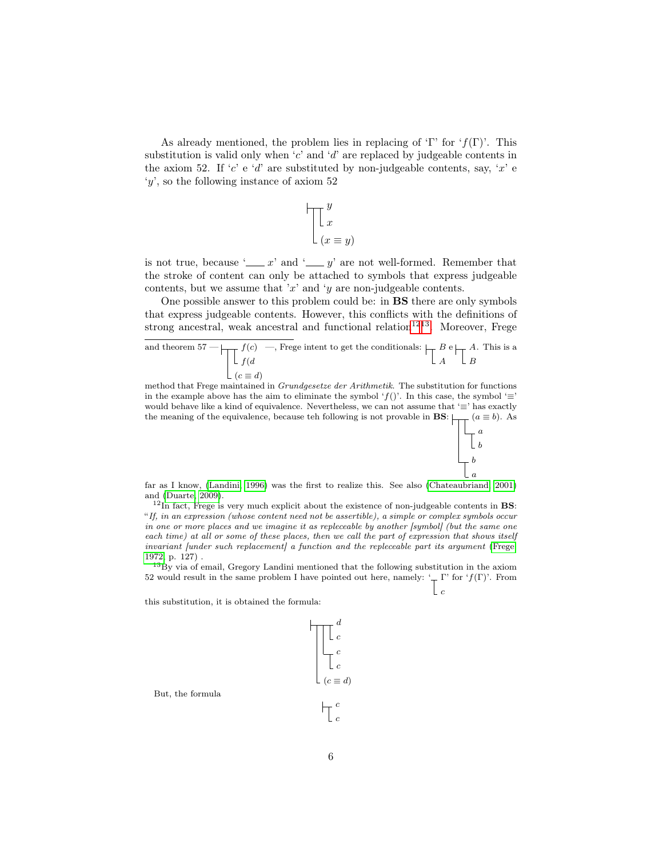As already mentioned, the problem lies in replacing of 'Γ' for  $f(\Gamma)$ '. This substitution is valid only when 'c' and 'd' are replaced by judgeable contents in the axiom 52. If 'c' e 'd' are substituted by non-judgeable contents, say, 'x' e 'y', so the following instance of axiom 52

$$
\begin{array}{c}\n\begin{bmatrix}\ny \\
x \\
(x \equiv y)\n\end{bmatrix}\n\end{array}
$$

is not true, because ' $\frac{y}{x}$  and ' $\frac{y}{y}$  are not well-formed. Remember that the stroke of content can only be attached to symbols that express judgeable contents, but we assume that 'x' and 'y are non-judgeable contents.

One possible answer to this problem could be: in BS there are only symbols that express judgeable contents. However, this conflicts with the definitions of strong ancestral, weak ancestral and functional relation<sup>[12](#page-5-0)[13](#page-5-1)</sup>. Moreover, Frege

and theorem 57 — 
$$
f(c) \longrightarrow
$$
 Frege intent to get the conditionals: 
$$
\begin{array}{c} B \in \mathbb{R} \\ A \subset B \end{array}
$$

method that Frege maintained in Grundgesetze der Arithmetik. The substitution for functions in the example above has the aim to eliminate the symbol 'f()'. In this case, the symbol ' $\equiv$ ' would behave like a kind of equivalence. Nevertheless, we can not assume that '≡' has exactly the meaning of the equivalence, because teh following is not provable in **BS**:  $\Box$   $(a \equiv b)$ . As



c

far as I know, [\(Landini, 1996\)](#page-6-3) was the first to realize this. See also [\(Chateaubriand, 2001\)](#page-6-4) and [\(Duarte, 2009\)](#page-6-5).

<span id="page-5-0"></span> $12$ In fact, Frege is very much explicit about the existence of non-judgeable contents in **BS**: "If, in an expression (whose content need not be assertible), a simple or complex symbols occur in one or more places and we imagine it as repleceable by another [symbol] (but the same one each time) at all or some of these places, then we call the part of expression that shows itself invariant funder such replacement a function and the repleceable part its argument [\(Frege,](#page-6-2) [1972,](#page-6-2) p. 127) .

<span id="page-5-1"></span> $13\text{By}$  via of email, Gregory Landini mentioned that the following substitution in the axiom 52 would result in the same problem I have pointed out here, namely:  $\frac{1}{x} \Gamma'$  for  $f(\Gamma)'$ . From

this substitution, it is obtained the formula:

$$
\begin{array}{c}\n a \\
 c \\
 c \\
 c \\
 c\n \end{array}
$$

But, the formula

 $(d)$